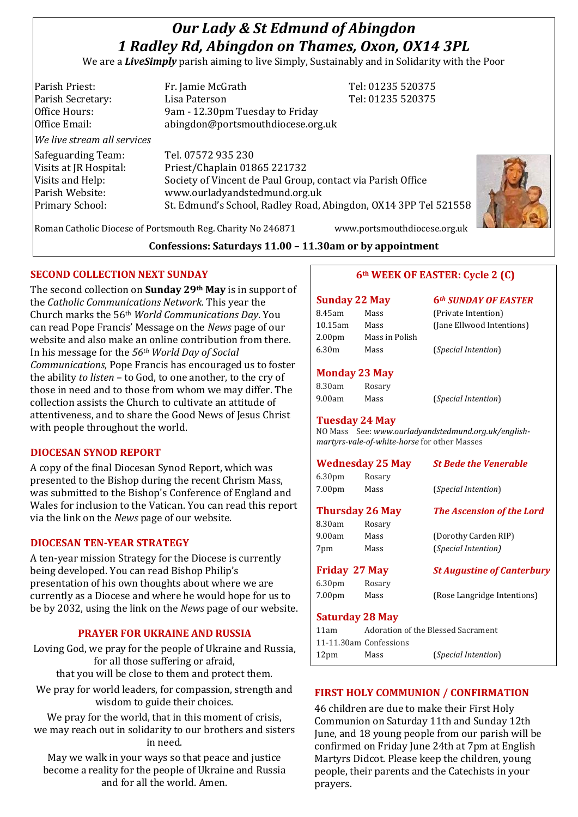# *Our Lady & St Edmund of Abingdon 1 Radley Rd, Abingdon on Thames, Oxon, OX14 3PL*

We are a *LiveSimply* parish aiming to live Simply, Sustainably and in Solidarity with the Poor

| Parish Priest:              | Fr. Jamie McGrath                                               | Tel: 01235 520375 |  |
|-----------------------------|-----------------------------------------------------------------|-------------------|--|
| Parish Secretary:           | Lisa Paterson                                                   | Tel: 01235 520375 |  |
| Office Hours:               | 9am - 12.30pm Tuesday to Friday                                 |                   |  |
| Office Email:               | abingdon@portsmouthdiocese.org.uk                               |                   |  |
| We live stream all services |                                                                 |                   |  |
| Safeguarding Team:          | Tel. 07572 935 230                                              |                   |  |
| Visits at JR Hospital:      | Priest/Chaplain 01865 221732                                    |                   |  |
| Visits and Help:            | Society of Vincent de Paul Group, contact via Parish Office     |                   |  |
| Parish Website:             | www.ourladyandstedmund.org.uk                                   |                   |  |
| Primary School:             | St. Edmund's School, Radley Road, Abingdon, OX14 3PP Tel 521558 |                   |  |
|                             |                                                                 |                   |  |



Roman Catholic Diocese of Portsmouth Reg. Charity No 246871 www.portsmouthdiocese.org.uk

## **Confessions: Saturdays 11.00 – 11.30am or by appointment**

# **SECOND COLLECTION NEXT SUNDAY**

The second collection on **Sunday 29th May** is in support of the *Catholic Communications Network*. This year the Church marks the 56th *World Communications Day*. You can read Pope Francis' Message on the *News* page of our website and also make an online contribution from there. In his message for the *56th World Day of Social Communications*, Pope Francis has encouraged us to foster the ability *to listen* – to God, to one another, to the cry of those in need and to those from whom we may differ. The collection assists the Church to cultivate an attitude of attentiveness, and to share the Good News of Jesus Christ with people throughout the world.

## **DIOCESAN SYNOD REPORT**

A copy of the final Diocesan Synod Report, which was presented to the Bishop during the recent Chrism Mass, was submitted to the Bishop's Conference of England and Wales for inclusion to the Vatican. You can read this report via the link on the *News* page of our website.

## **DIOCESAN TEN-YEAR STRATEGY**

A ten-year mission Strategy for the Diocese is currently being developed. You can read Bishop Philip's presentation of his own thoughts about where we are currently as a Diocese and where he would hope for us to be by 2032, using the link on the *News* page of our website.

## **PRAYER FOR UKRAINE AND RUSSIA**

Loving God, we pray for the people of Ukraine and Russia, for all those suffering or afraid, that you will be close to them and protect them.

We pray for world leaders, for compassion, strength and wisdom to guide their choices.

We pray for the world, that in this moment of crisis, we may reach out in solidarity to our brothers and sisters in need.

May we walk in your ways so that peace and justice become a reality for the people of Ukraine and Russia and for all the world. Amen.

# **6th WEEK OF EASTER: Cycle 2 (C)**

|                    | Sunday 22 May                                | 6 <sup>th</sup> SUNDAY OF EASTER                    |
|--------------------|----------------------------------------------|-----------------------------------------------------|
| 8.45am             | Mass                                         | (Private Intention)                                 |
| 10.15am            | Mass                                         | (Jane Ellwood Intentions)                           |
| 2.00pm             | Mass in Polish                               |                                                     |
| 6.30m              | Mass                                         | (Special Intention)                                 |
|                    | <b>Monday 23 May</b>                         |                                                     |
| 8.30am             | Rosary                                       |                                                     |
| 9.00am             | Mass                                         | (Special Intention)                                 |
|                    | Tuesday 24 May                               |                                                     |
|                    |                                              | NO Mass See: www.ourladyandstedmund.org.uk/english- |
|                    | martyrs-vale-of-white-horse for other Masses |                                                     |
|                    | <b>Wednesday 25 May</b>                      | <b>St Bede the Venerable</b>                        |
| 6.30 <sub>pm</sub> | Rosary                                       |                                                     |
| 7.00pm             | Mass                                         | (Special Intention)                                 |
|                    | <b>Thursday 26 May</b>                       | <b>The Ascension of the Lord</b>                    |
| 8.30am             | Rosary                                       |                                                     |
| 9.00am             | Mass                                         | (Dorothy Carden RIP)                                |
| 7pm                | Mass                                         | (Special Intention)                                 |
| Friday 27 May      |                                              | <b>St Augustine of Canterbury</b>                   |

6.30pm Rosary

7.00pm Mass (Rose Langridge Intentions)

## **Saturday 28 May**

| 11am                   |      | Adoration of the Blessed Sacrament |
|------------------------|------|------------------------------------|
| 11-11.30am Confessions |      |                                    |
| 12 <sub>pm</sub>       | Mass | ( <i>Special Intention</i> )       |

## **FIRST HOLY COMMUNION / CONFIRMATION**

46 children are due to make their First Holy Communion on Saturday 11th and Sunday 12th June, and 18 young people from our parish will be confirmed on Friday June 24th at 7pm at English Martyrs Didcot. Please keep the children, young people, their parents and the Catechists in your prayers.